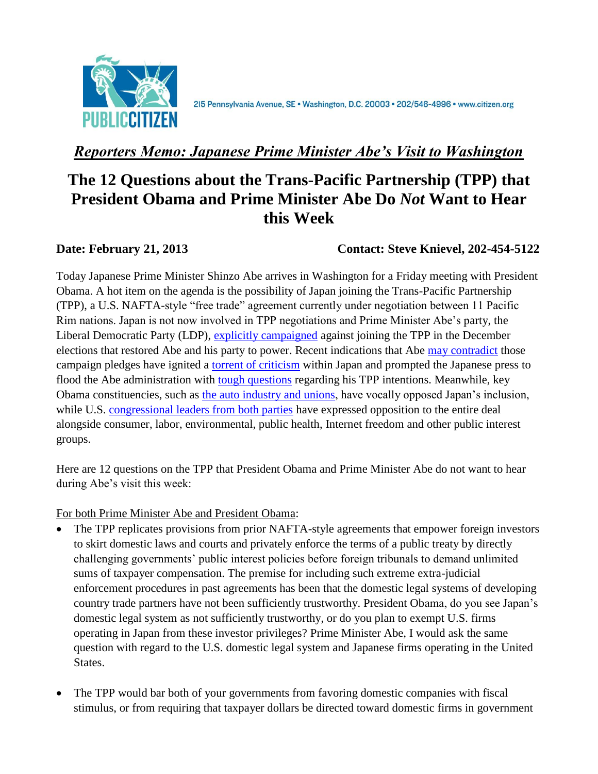

215 Pennsylvania Avenue, SE · Washington, D.C. 20003 · 202/546-4996 · www.citizen.org

## *Reporters Memo: Japanese Prime Minister Abe's Visit to Washington*

## **The 12 Questions about the Trans-Pacific Partnership (TPP) that President Obama and Prime Minister Abe Do** *Not* **Want to Hear this Week**

**Date: February 21, 2013 Contact: Steve Knievel, 202-454-5122**

Today Japanese Prime Minister Shinzo Abe arrives in Washington for a Friday meeting with President Obama. A hot item on the agenda is the possibility of Japan joining the Trans-Pacific Partnership (TPP), a U.S. NAFTA-style "free trade" agreement currently under negotiation between 11 Pacific Rim nations. Japan is not now involved in TPP negotiations and Prime Minister Abe's party, the Liberal Democratic Party (LDP), [explicitly campaigned](http://professional.wsj.com/article/SB10001424127887324407504578182880166833470.html?mg=reno64-wsj) against joining the TPP in the December elections that restored Abe and his party to power. Recent indications that Abe [may contradict](http://www.taipeitimes.com/News/biz/archives/2012/12/25/2003550921) those campaign pledges have ignited a [torrent of criticism](http://aws.japantimes.co.jp/?post_type=news&p=70006) within Japan and prompted the Japanese press to flood the Abe administration with [tough questions](http://www.japantimes.co.jp/news/2013/02/06/national/abe-to-meet-obama-with-hands-tied/#.USTqgKXFV5B) regarding his TPP intentions. Meanwhile, key Obama constituencies, such as [the auto industry](http://www.bloomberg.com/news/2012-12-27/japan-may-move-on-joining-us-led-trade-talks-under-shinzo-abe.html) and unions, have vocally opposed Japan's inclusion, while U.S. [congressional leaders from both parties](http://www.huffingtonpost.com/2012/05/23/trans-pacific-partnership-ron-wyden_n_1540984.html) have expressed opposition to the entire deal alongside consumer, labor, environmental, public health, Internet freedom and other public interest groups.

Here are 12 questions on the TPP that President Obama and Prime Minister Abe do not want to hear during Abe's visit this week:

For both Prime Minister Abe and President Obama:

- The TPP replicates provisions from prior NAFTA-style agreements that empower foreign investors to skirt domestic laws and courts and privately enforce the terms of a public treaty by directly challenging governments' public interest policies before foreign tribunals to demand unlimited sums of taxpayer compensation. The premise for including such extreme extra-judicial enforcement procedures in past agreements has been that the domestic legal systems of developing country trade partners have not been sufficiently trustworthy. President Obama, do you see Japan's domestic legal system as not sufficiently trustworthy, or do you plan to exempt U.S. firms operating in Japan from these investor privileges? Prime Minister Abe, I would ask the same question with regard to the U.S. domestic legal system and Japanese firms operating in the United States.
- The TPP would bar both of your governments from favoring domestic companies with fiscal stimulus, or from requiring that taxpayer dollars be directed toward domestic firms in government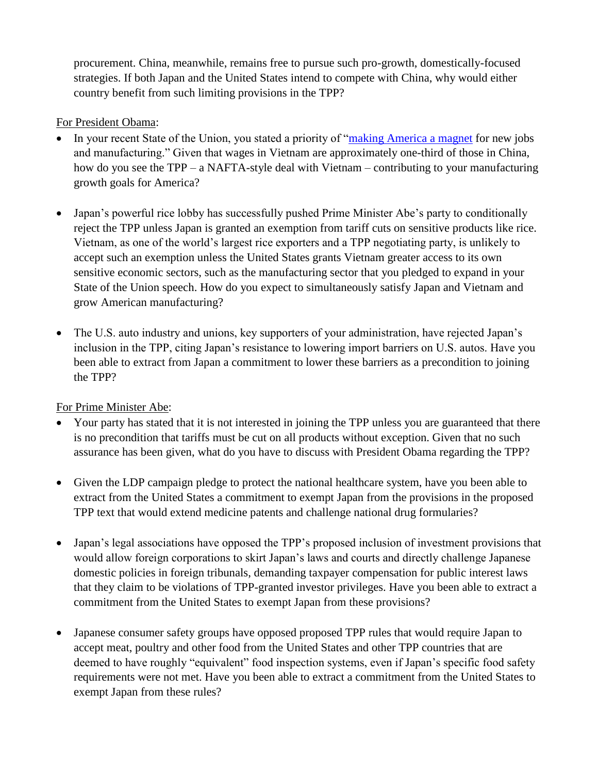procurement. China, meanwhile, remains free to pursue such pro-growth, domestically-focused strategies. If both Japan and the United States intend to compete with China, why would either country benefit from such limiting provisions in the TPP?

## For President Obama:

- In your recent State of the Union, you stated a priority of ["making America a magnet](http://www.nytimes.com/2013/02/13/us/politics/obamas-2013-state-of-the-union-address.html?pagewanted=all&_r=0) for new jobs and manufacturing." Given that wages in Vietnam are approximately one-third of those in China, how do you see the TPP – a NAFTA-style deal with Vietnam – contributing to your manufacturing growth goals for America?
- Japan's powerful rice lobby has successfully pushed Prime Minister Abe's party to conditionally reject the TPP unless Japan is granted an exemption from tariff cuts on sensitive products like rice. Vietnam, as one of the world's largest rice exporters and a TPP negotiating party, is unlikely to accept such an exemption unless the United States grants Vietnam greater access to its own sensitive economic sectors, such as the manufacturing sector that you pledged to expand in your State of the Union speech. How do you expect to simultaneously satisfy Japan and Vietnam and grow American manufacturing?
- The U.S. auto industry and unions, key supporters of your administration, have rejected Japan's inclusion in the TPP, citing Japan's resistance to lowering import barriers on U.S. autos. Have you been able to extract from Japan a commitment to lower these barriers as a precondition to joining the TPP?

## For Prime Minister Abe:

- Your party has stated that it is not interested in joining the TPP unless you are guaranteed that there is no precondition that tariffs must be cut on all products without exception. Given that no such assurance has been given, what do you have to discuss with President Obama regarding the TPP?
- Given the LDP campaign pledge to protect the national healthcare system, have you been able to extract from the United States a commitment to exempt Japan from the provisions in the proposed TPP text that would extend medicine patents and challenge national drug formularies?
- Japan's legal associations have opposed the TPP's proposed inclusion of investment provisions that would allow foreign corporations to skirt Japan's laws and courts and directly challenge Japanese domestic policies in foreign tribunals, demanding taxpayer compensation for public interest laws that they claim to be violations of TPP-granted investor privileges. Have you been able to extract a commitment from the United States to exempt Japan from these provisions?
- Japanese consumer safety groups have opposed proposed TPP rules that would require Japan to accept meat, poultry and other food from the United States and other TPP countries that are deemed to have roughly "equivalent" food inspection systems, even if Japan's specific food safety requirements were not met. Have you been able to extract a commitment from the United States to exempt Japan from these rules?